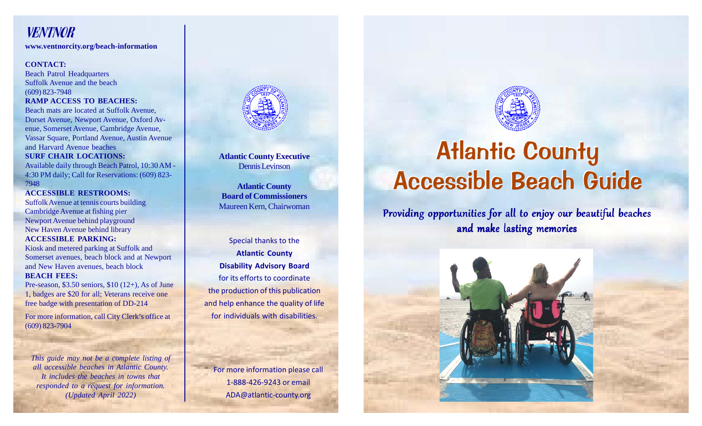## VENTNOR

**www.ventnorcity.org/beach-information**

#### **CONTACT:**

Beach Patrol Headquarters Suffolk Avenue and the beach (609) 823-7948 **RAMP ACCESS TO BEACHES:** Beach mats are located at Suffolk Avenue, Dorset Avenue, Newport Avenue, Oxford Avenue, Somerset Avenue, Cambridge Avenue, Vassar Square, Portland Avenue, Austin Avenue and Harvard Avenue beaches

#### **SURF CHAIR LOCATIONS:**

Available daily through Beach Patrol, 10:30 AM - 4:30 PM daily; Call for Reservations: (609) 823- 7948

**ACCESSIBLE RESTROOMS:** Suffolk Avenue at tennis courts building Cambridge Avenue at fishing pier Newport Avenue behind playground New Haven Avenue behind library **ACCESSIBLE PARKING:**

Kiosk and metered parking at Suffolk and Somerset avenues, beach block and at Newport and New Haven avenues, beach block **BEACH FEES:**

Pre-season, \$3.50 seniors, \$10 (12+), As of June 1, badges are \$20 for all; Veterans receive one free badge with presentation of DD-214

For more information, call City Clerk's office at (609) 823-7904

*This guide may not be a complete listing of all accessible beaches in Atlantic County. It includes the beaches in towns that responded to a request for information. (Updated April 2022)*



**Atlantic County Executive** Dennis Levinson

**Atlantic County Board of Commissioners** Maureen Kern, Chairwoman

Special thanks to the **Atlantic County Disability Advisory Board** for its efforts to coordinate the production of this publication and help enhance the quality of life for individuals with disabilities.

For more information please call 1-888-426-9243 or email ADA@atlantic-county.org



# Atlantic County Atlantic County Accessible Beach Guide Accessible Beach Guide

Providing opportunities for all to enjoy our beautiful beaches and make lasting memories